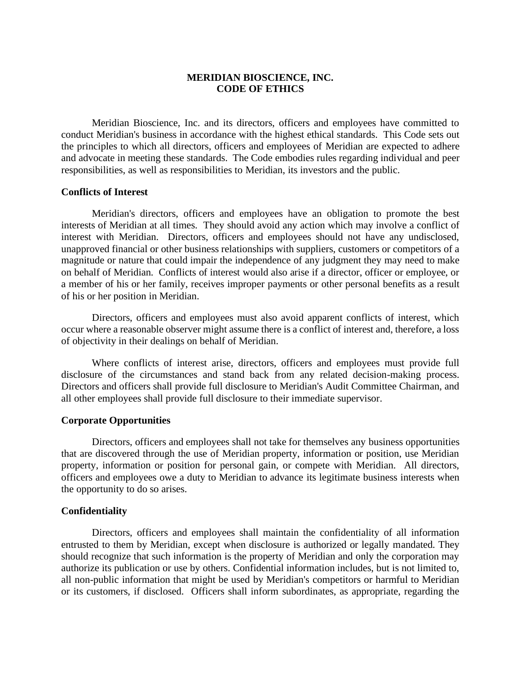### **MERIDIAN BIOSCIENCE, INC. CODE OF ETHICS**

Meridian Bioscience, Inc. and its directors, officers and employees have committed to conduct Meridian's business in accordance with the highest ethical standards. This Code sets out the principles to which all directors, officers and employees of Meridian are expected to adhere and advocate in meeting these standards. The Code embodies rules regarding individual and peer responsibilities, as well as responsibilities to Meridian, its investors and the public.

### **Conflicts of Interest**

Meridian's directors, officers and employees have an obligation to promote the best interests of Meridian at all times. They should avoid any action which may involve a conflict of interest with Meridian. Directors, officers and employees should not have any undisclosed, unapproved financial or other business relationships with suppliers, customers or competitors of a magnitude or nature that could impair the independence of any judgment they may need to make on behalf of Meridian. Conflicts of interest would also arise if a director, officer or employee, or a member of his or her family, receives improper payments or other personal benefits as a result of his or her position in Meridian.

Directors, officers and employees must also avoid apparent conflicts of interest, which occur where a reasonable observer might assume there is a conflict of interest and, therefore, a loss of objectivity in their dealings on behalf of Meridian.

Where conflicts of interest arise, directors, officers and employees must provide full disclosure of the circumstances and stand back from any related decision-making process. Directors and officers shall provide full disclosure to Meridian's Audit Committee Chairman, and all other employees shall provide full disclosure to their immediate supervisor.

## **Corporate Opportunities**

Directors, officers and employees shall not take for themselves any business opportunities that are discovered through the use of Meridian property, information or position, use Meridian property, information or position for personal gain, or compete with Meridian. All directors, officers and employees owe a duty to Meridian to advance its legitimate business interests when the opportunity to do so arises.

## **Confidentiality**

Directors, officers and employees shall maintain the confidentiality of all information entrusted to them by Meridian, except when disclosure is authorized or legally mandated. They should recognize that such information is the property of Meridian and only the corporation may authorize its publication or use by others. Confidential information includes, but is not limited to, all non-public information that might be used by Meridian's competitors or harmful to Meridian or its customers, if disclosed. Officers shall inform subordinates, as appropriate, regarding the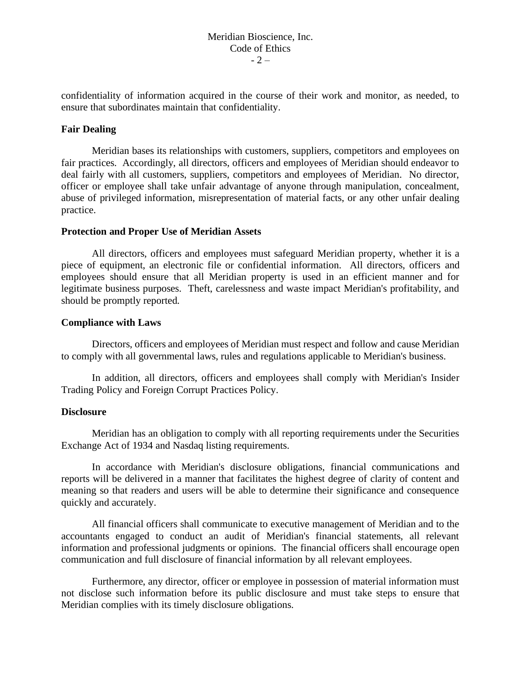confidentiality of information acquired in the course of their work and monitor, as needed, to ensure that subordinates maintain that confidentiality.

# **Fair Dealing**

Meridian bases its relationships with customers, suppliers, competitors and employees on fair practices. Accordingly, all directors, officers and employees of Meridian should endeavor to deal fairly with all customers, suppliers, competitors and employees of Meridian. No director, officer or employee shall take unfair advantage of anyone through manipulation, concealment, abuse of privileged information, misrepresentation of material facts, or any other unfair dealing practice.

## **Protection and Proper Use of Meridian Assets**

All directors, officers and employees must safeguard Meridian property, whether it is a piece of equipment, an electronic file or confidential information. All directors, officers and employees should ensure that all Meridian property is used in an efficient manner and for legitimate business purposes. Theft, carelessness and waste impact Meridian's profitability, and should be promptly reported.

### **Compliance with Laws**

Directors, officers and employees of Meridian must respect and follow and cause Meridian to comply with all governmental laws, rules and regulations applicable to Meridian's business.

In addition, all directors, officers and employees shall comply with Meridian's Insider Trading Policy and Foreign Corrupt Practices Policy.

## **Disclosure**

Meridian has an obligation to comply with all reporting requirements under the Securities Exchange Act of 1934 and Nasdaq listing requirements.

In accordance with Meridian's disclosure obligations, financial communications and reports will be delivered in a manner that facilitates the highest degree of clarity of content and meaning so that readers and users will be able to determine their significance and consequence quickly and accurately.

All financial officers shall communicate to executive management of Meridian and to the accountants engaged to conduct an audit of Meridian's financial statements, all relevant information and professional judgments or opinions. The financial officers shall encourage open communication and full disclosure of financial information by all relevant employees.

Furthermore, any director, officer or employee in possession of material information must not disclose such information before its public disclosure and must take steps to ensure that Meridian complies with its timely disclosure obligations.